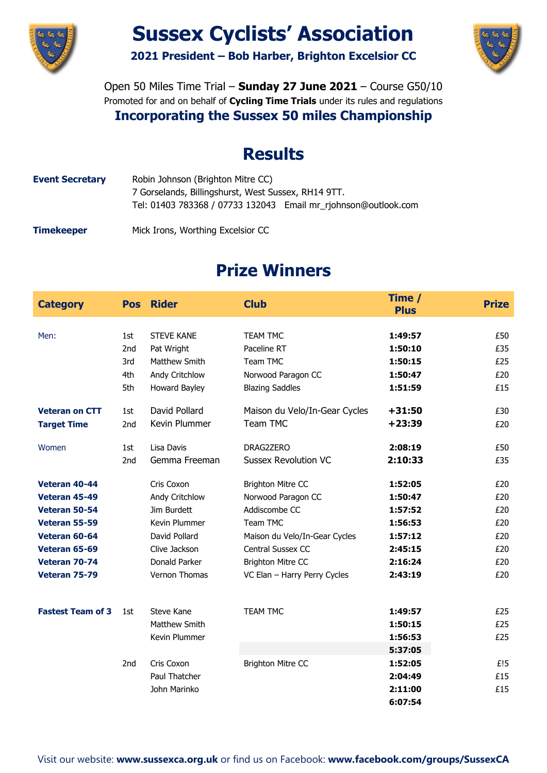

# **Sussex Cyclists' Association**

**2021 President – Bob Harber, Brighton Excelsior CC**



Open 50 Miles Time Trial – **Sunday 27 June 2021** – Course G50/10 Promoted for and on behalf of **Cycling Time Trials** under its rules and regulations **Incorporating the Sussex 50 miles Championship**

### **Results**

**Event Secretary** Robin Johnson (Brighton Mitre CC) 7 Gorselands, Billingshurst, West Sussex, RH14 9TT. Tel: 01403 783368 / 07733 132043 Email mr\_rjohnson@outlook.com

**Timekeeper** Mick Irons, Worthing Excelsior CC

## **Prize Winners**

| <b>Category</b>          |                 | <b>Pos</b> Rider     | <b>Club</b>                   | Time /<br><b>Plus</b> | <b>Prize</b> |
|--------------------------|-----------------|----------------------|-------------------------------|-----------------------|--------------|
| Men:                     |                 | <b>STEVE KANE</b>    | <b>TEAM TMC</b>               |                       | £50          |
|                          | 1st<br>2nd      | Pat Wright           | Paceline RT                   | 1:49:57<br>1:50:10    | £35          |
|                          | 3rd             | Matthew Smith        | Team TMC                      | 1:50:15               | £25          |
|                          | 4th             | Andy Critchlow       | Norwood Paragon CC            | 1:50:47               | £20          |
|                          | 5th             | Howard Bayley        | <b>Blazing Saddles</b>        | 1:51:59               | £15          |
| <b>Veteran on CTT</b>    | 1st             | David Pollard        | Maison du Velo/In-Gear Cycles | $+31:50$              | £30          |
| <b>Target Time</b>       | 2nd             | Kevin Plummer        | Team TMC                      | $+23:39$              | £20          |
| Women                    | 1st             | Lisa Davis           | DRAG2ZERO                     | 2:08:19               | £50          |
|                          | 2 <sub>nd</sub> | Gemma Freeman        | <b>Sussex Revolution VC</b>   | 2:10:33               | £35          |
| Veteran 40-44            |                 | Cris Coxon           | <b>Brighton Mitre CC</b>      | 1:52:05               | £20          |
| Veteran 45-49            |                 | Andy Critchlow       | Norwood Paragon CC            | 1:50:47               | £20          |
| Veteran 50-54            |                 | Jim Burdett          | Addiscombe CC                 | 1:57:52               | £20          |
| Veteran 55-59            |                 | Kevin Plummer        | Team TMC                      | 1:56:53               | £20          |
| Veteran 60-64            |                 | David Pollard        | Maison du Velo/In-Gear Cycles | 1:57:12               | £20          |
| Veteran 65-69            |                 | Clive Jackson        | Central Sussex CC             | 2:45:15               | £20          |
| Veteran 70-74            |                 | <b>Donald Parker</b> | <b>Brighton Mitre CC</b>      | 2:16:24               | £20          |
| Veteran 75-79            |                 | Vernon Thomas        | VC Elan - Harry Perry Cycles  | 2:43:19               | £20          |
|                          |                 |                      |                               |                       |              |
| <b>Fastest Team of 3</b> | 1st             | Steve Kane           | <b>TEAM TMC</b>               | 1:49:57               | £25          |
|                          |                 | Matthew Smith        |                               | 1:50:15               | £25          |
|                          |                 | Kevin Plummer        |                               | 1:56:53               | £25          |
|                          |                 |                      |                               | 5:37:05               |              |
|                          | 2nd             | Cris Coxon           | <b>Brighton Mitre CC</b>      | 1:52:05               | £!5          |
|                          |                 | Paul Thatcher        |                               | 2:04:49               | £15          |
|                          |                 | John Marinko         |                               | 2:11:00               | £15          |
|                          |                 |                      |                               | 6:07:54               |              |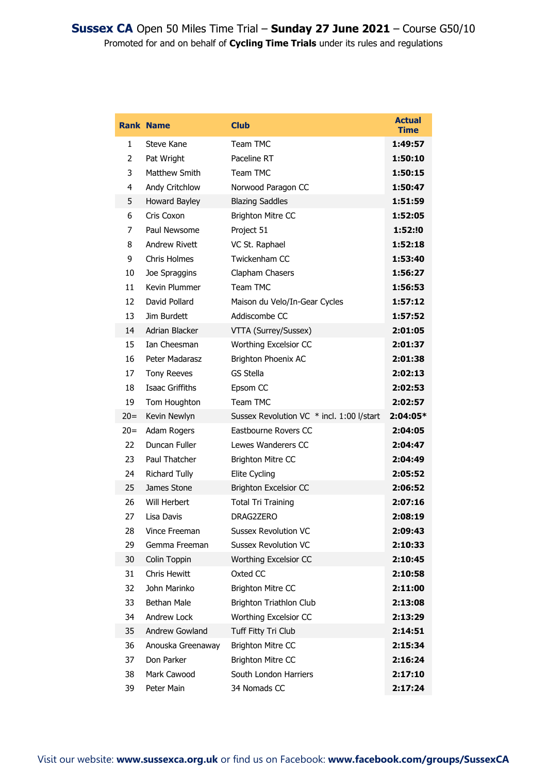|       | <b>Rank Name</b>     | <b>Club</b>                               | <b>Actual</b><br>Time |
|-------|----------------------|-------------------------------------------|-----------------------|
| 1     | Steve Kane           | Team TMC                                  | 1:49:57               |
| 2     | Pat Wright           | Paceline RT                               | 1:50:10               |
| 3     | Matthew Smith        | Team TMC                                  | 1:50:15               |
| 4     | Andy Critchlow       | Norwood Paragon CC                        | 1:50:47               |
| 5     | Howard Bayley        | <b>Blazing Saddles</b>                    | 1:51:59               |
| 6     | Cris Coxon           | <b>Brighton Mitre CC</b>                  | 1:52:05               |
| 7     | Paul Newsome         | Project 51                                | 1:52:!0               |
| 8     | <b>Andrew Rivett</b> | VC St. Raphael                            | 1:52:18               |
| 9     | Chris Holmes         | Twickenham CC                             | 1:53:40               |
| 10    | Joe Spraggins        | Clapham Chasers                           | 1:56:27               |
| 11    | Kevin Plummer        | Team TMC                                  | 1:56:53               |
| 12    | David Pollard        | Maison du Velo/In-Gear Cycles             | 1:57:12               |
| 13    | Jim Burdett          | Addiscombe CC                             | 1:57:52               |
| 14    | Adrian Blacker       | VTTA (Surrey/Sussex)                      | 2:01:05               |
| 15    | Ian Cheesman         | Worthing Excelsior CC                     | 2:01:37               |
| 16    | Peter Madarasz       | Brighton Phoenix AC                       | 2:01:38               |
| 17    | <b>Tony Reeves</b>   | <b>GS Stella</b>                          | 2:02:13               |
| 18    | Isaac Griffiths      | Epsom CC                                  | 2:02:53               |
| 19    | Tom Houghton         | Team TMC                                  | 2:02:57               |
| $20=$ | Kevin Newlyn         | Sussex Revolution VC * incl. 1:00 l/start | 2:04:05*              |
| $20=$ | Adam Rogers          | Eastbourne Rovers CC                      | 2:04:05               |
| 22.   | Duncan Fuller        | Lewes Wanderers CC                        | 2:04:47               |
| 23    | Paul Thatcher        | <b>Brighton Mitre CC</b>                  | 2:04:49               |
| 24    | <b>Richard Tully</b> | Elite Cycling                             | 2:05:52               |
| 25    | James Stone          | <b>Brighton Excelsior CC</b>              | 2:06:52               |
| 26    | Will Herbert         | <b>Total Tri Training</b>                 | 2:07:16               |
| 27    | Lisa Davis           | DRAG2ZERO                                 | 2:08:19               |
| 28    | Vince Freeman        | <b>Sussex Revolution VC</b>               | 2:09:43               |
| 29    | Gemma Freeman        | <b>Sussex Revolution VC</b>               | 2:10:33               |
| 30    | Colin Toppin         | Worthing Excelsior CC                     | 2:10:45               |
| 31    | Chris Hewitt         | Oxted CC                                  | 2:10:58               |
| 32    | John Marinko         | <b>Brighton Mitre CC</b>                  | 2:11:00               |
| 33    | Bethan Male          | Brighton Triathlon Club                   | 2:13:08               |
| 34    | Andrew Lock          | Worthing Excelsior CC                     | 2:13:29               |
| 35    | Andrew Gowland       | Tuff Fitty Tri Club                       | 2:14:51               |
| 36    | Anouska Greenaway    | <b>Brighton Mitre CC</b>                  | 2:15:34               |
| 37    | Don Parker           | <b>Brighton Mitre CC</b>                  | 2:16:24               |
| 38    | Mark Cawood          | South London Harriers                     | 2:17:10               |
| 39    | Peter Main           | 34 Nomads CC                              | 2:17:24               |